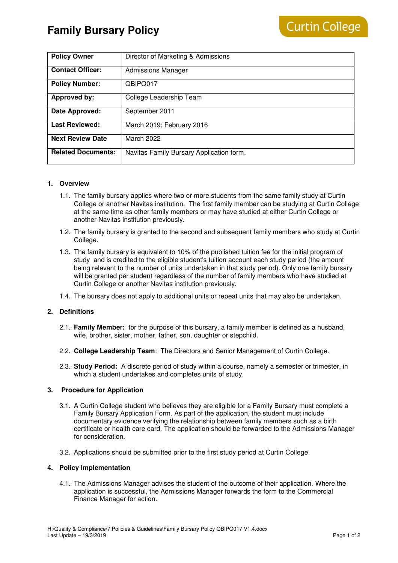# **Family Bursary Policy**

| <b>Policy Owner</b>       | Director of Marketing & Admissions       |
|---------------------------|------------------------------------------|
| <b>Contact Officer:</b>   | <b>Admissions Manager</b>                |
| <b>Policy Number:</b>     | QBIPO017                                 |
| Approved by:              | College Leadership Team                  |
| Date Approved:            | September 2011                           |
| <b>Last Reviewed:</b>     | March 2019; February 2016                |
| <b>Next Review Date</b>   | March 2022                               |
| <b>Related Documents:</b> | Navitas Family Bursary Application form. |

## **1. Overview**

- 1.1. The family bursary applies where two or more students from the same family study at Curtin College or another Navitas institution. The first family member can be studying at Curtin College at the same time as other family members or may have studied at either Curtin College or another Navitas institution previously.
- 1.2. The family bursary is granted to the second and subsequent family members who study at Curtin College.
- 1.3. The family bursary is equivalent to 10% of the published tuition fee for the initial program of study and is credited to the eligible student's tuition account each study period (the amount being relevant to the number of units undertaken in that study period). Only one family bursary will be granted per student regardless of the number of family members who have studied at Curtin College or another Navitas institution previously.
- 1.4. The bursary does not apply to additional units or repeat units that may also be undertaken.

## **2. Definitions**

- 2.1. **Family Member:** for the purpose of this bursary, a family member is defined as a husband, wife, brother, sister, mother, father, son, daughter or stepchild.
- 2.2. **College Leadership Team**: The Directors and Senior Management of Curtin College.
- 2.3. **Study Period:** A discrete period of study within a course, namely a semester or trimester, in which a student undertakes and completes units of study.

## **3. Procedure for Application**

- 3.1. A Curtin College student who believes they are eligible for a Family Bursary must complete a Family Bursary Application Form. As part of the application, the student must include documentary evidence verifying the relationship between family members such as a birth certificate or health care card. The application should be forwarded to the Admissions Manager for consideration.
- 3.2. Applications should be submitted prior to the first study period at Curtin College.

#### **4. Policy Implementation**

4.1. The Admissions Manager advises the student of the outcome of their application. Where the application is successful, the Admissions Manager forwards the form to the Commercial Finance Manager for action.